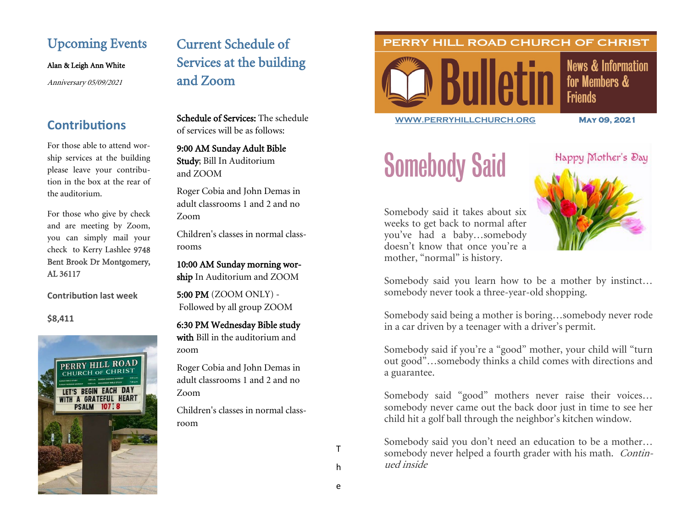### Upcoming Events

Alan & Leigh Ann White

Anniversary 05/09/2021

### **Contributions**

For those able to attend worship services at the building please leave your contribution in the box at the rear of the auditorium.

For those who give by check and are meeting by Zoom, you can simply mail your check to Kerry Lashlee 9748 Bent Brook Dr Montgomery, AL 36117

**Contribution last week**

**\$8,411**



## Current Schedule of Services at the building and Zoom

Schedule of Services: The schedule of services will be as follows:

9:00 AM Sunday Adult Bible Study; Bill In Auditorium and ZOOM

Roger Cobia and John Demas in adult classrooms 1 and 2 and no Zoom

Children's classes in normal classrooms

10:00 AM Sunday morning worship In Auditorium and ZOOM

5:00 PM (ZOOM ONLY) - Followed by all group ZOOM

6:30 PM Wednesday Bible study

with Bill in the auditorium and zoom

Roger Cobia and John Demas in adult classrooms 1 and 2 and no Zoom

Children's classes in normal classroom

PERRY HILL ROAD CHURCH OF CHRIST



**News & Information** for Members & **Friends** 

**[WWW.PERRYHILLCHURCH.ORG](http://www.perryhillchurch.org) May 09, 2021** 

# Somebody Said



Somebody said it takes about six weeks to get back to normal after you've had a baby…somebody doesn't know that once you're a mother, "normal" is history.

Somebody said you learn how to be a mother by instinct… somebody never took a three-year-old shopping.

Somebody said being a mother is boring…somebody never rode in a car driven by a teenager with a driver's permit.

Somebody said if you're a "good" mother, your child will "turn out good"…somebody thinks a child comes with directions and a guarantee.

Somebody said "good" mothers never raise their voices… somebody never came out the back door just in time to see her child hit a golf ball through the neighbor's kitchen window.

Somebody said you don't need an education to be a mother… somebody never helped a fourth grader with his math. Continued inside

T

h